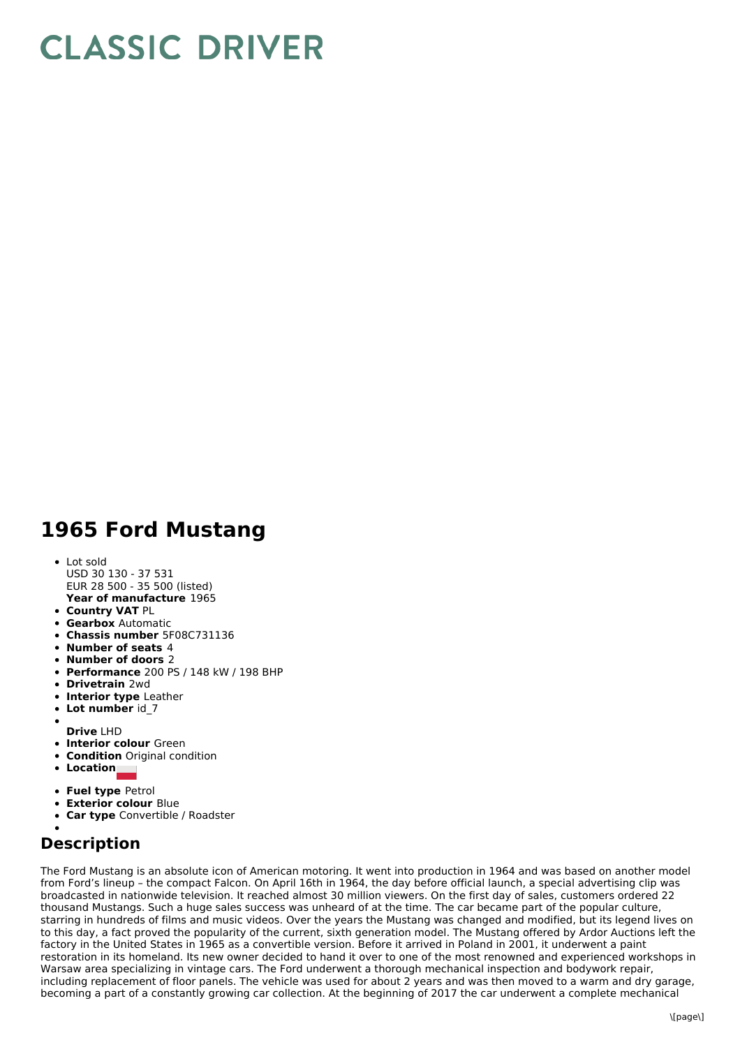## **CLASSIC DRIVER**

## **1965 Ford Mustang**

- Lot sold
- **Year of manufacture** 1965 USD 30 130 - 37 531 EUR 28 500 - 35 500 (listed)
- **Country VAT** PL
- **Gearbox** Automatic
- **Chassis number** 5F08C731136
- **Number of seats** 4
- **Number of doors** 2
- **Performance** 200 PS / 148 kW / 198 BHP
- **Drivetrain** 2wd
- **Interior type** Leather
- **Lot number** id\_7
- **Drive** LHD
- **Interior colour** Green
- **Condition** Original condition
- **Location**
- **Fuel type** Petrol
- **Exterior colour** Blue
- $\bullet$ **Car type** Convertible / Roadster

## **Description**

The Ford Mustang is an absolute icon of American motoring. It went into production in 1964 and was based on another model from Ford's lineup – the compact Falcon. On April 16th in 1964, the day before official launch, a special advertising clip was broadcasted in nationwide television. It reached almost 30 million viewers. On the first day of sales, customers ordered 22 thousand Mustangs. Such a huge sales success was unheard of at the time. The car became part of the popular culture, starring in hundreds of films and music videos. Over the years the Mustang was changed and modified, but its legend lives on to this day, a fact proved the popularity of the current, sixth generation model. The Mustang offered by Ardor Auctions left the factory in the United States in 1965 as a convertible version. Before it arrived in Poland in 2001, it underwent a paint restoration in its homeland. Its new owner decided to hand it over to one of the most renowned and experienced workshops in Warsaw area specializing in vintage cars. The Ford underwent a thorough mechanical inspection and bodywork repair, including replacement of floor panels. The vehicle was used for about 2 years and was then moved to a warm and dry garage, becoming a part of a constantly growing car collection. At the beginning of 2017 the car underwent a complete mechanical